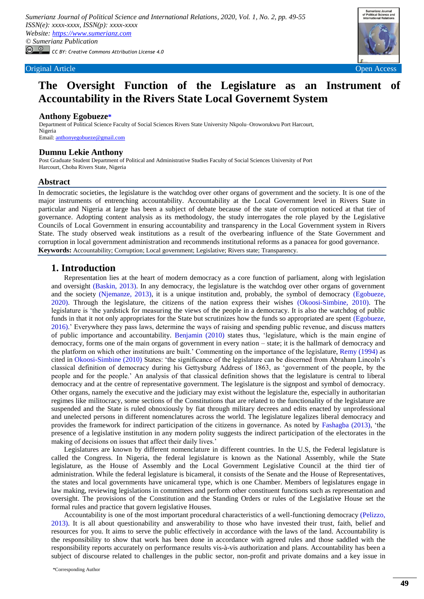

# **The Oversight Function of the Legislature as an Instrument of Accountability in the Rivers State Local Governemt System**

### **Anthony Egobueze[\\*](#page-0-0)**

Department of Political Science Faculty of Social Sciences Rivers State University Nkpolu–Oroworukwu Port Harcourt, Nigeria Email[: anthonyegobueze@gmail.com](anthonyegobueze@gmail.com)

#### **Dumnu Lekie Anthony**

Post Graduate Student Department of Political and Administrative Studies Faculty of Social Sciences University of Port Harcourt, Choba Rivers State, Nigeria

#### **Abstract**

In democratic societies, the legislature is the watchdog over other organs of government and the society. It is one of the major instruments of entrenching accountability. Accountability at the Local Government level in Rivers State in particular and Nigeria at large has been a subject of debate because of the state of corruption noticed at that tier of governance. Adopting content analysis as its methodology, the study interrogates the role played by the Legislative Councils of Local Government in ensuring accountability and transparency in the Local Government system in Rivers State. The study observed weak institutions as a result of the overbearing influence of the State Government and corruption in local government administration and recommends institutional reforms as a panacea for good governance. **Keywords:** Accountability; Corruption; Local government; Legislative; Rivers state; Transparency.

### **1. Introduction**

Representation lies at the heart of modern democracy as a core function of parliament, along with legislation and oversight [\(Baskin, 2013\)](#page-6-0). In any democracy, the legislature is the watchdog over other organs of government and the society [\(Njemanze, 2013\)](#page-6-1), it is a unique institution and, probably, the symbol of democracy [\(Egobueze,](#page-6-2)  [2020\)](#page-6-2). Through the legislature, the citizens of the nation express their wishes [\(Okoosi-Simbine, 2010\)](#page-6-3). The legislature is "the yardstick for measuring the views of the people in a democracy. It is also the watchdog of public funds in that it not only appropriates for the State but scrutinizes how the funds so appropriated are spent [\(Egobueze,](#page-6-4)  [2016\)](#page-6-4)." Everywhere they pass laws, determine the ways of raising and spending public revenue, and discuss matters of public importance and accountability. [Benjamin \(2010\)](#page-6-5) states thus, "legislature, which is the main engine of democracy, forms one of the main organs of government in every nation – state; it is the hallmark of democracy and the platform on which other institutions are built." Commenting on the importance of the legislature, [Remy \(1994\)](#page-6-6) as cited in [Okoosi-Simbine \(2010\)](#page-6-3) States: "the significance of the legislature can be discerned from Abraham Lincoln"s classical definition of democracy during his Gettysburg Address of 1863, as "government of the people, by the people and for the people." An analysis of that classical definition shows that the legislature is central to liberal democracy and at the centre of representative government. The legislature is the signpost and symbol of democracy. Other organs, namely the executive and the judiciary may exist without the legislature the, especially in authoritarian regimes like militocracy, some sections of the Constitutions that are related to the functionality of the legislature are suspended and the State is ruled obnoxiously by fiat through military decrees and edits enacted by unprofessional and unelected persons in different nomenclatures across the world. The legislature legalizes liberal democracy and provides the framework for indirect participation of the citizens in governance. As noted by [Fashagba \(2013\),](#page-6-7) "the presence of a legislative institution in any modern polity suggests the indirect participation of the electorates in the making of decisions on issues that affect their daily lives.'

Legislatures are known by different nomenclature in different countries. In the U.S, the Federal legislature is called the Congress. In Nigeria, the federal legislature is known as the National Assembly, while the State legislature, as the House of Assembly and the Local Government Legislative Council at the third tier of administration. While the federal legislature is bicameral, it consists of the Senate and the House of Representatives, the states and local governments have unicameral type, which is one Chamber. Members of legislatures engage in law making, reviewing legislations in committees and perform other constituent functions such as representation and oversight. The provisions of the Constitution and the Standing Orders or rules of the Legislative House set the formal rules and practice that govern legislative Houses.

<span id="page-0-0"></span>Accountability is one of the most important procedural characteristics of a well-functioning democracy [\(Pelizzo,](#page-6-8)  [2013\)](#page-6-8). It is all about questionability and answerability to those who have invested their trust, faith, belief and resources for you. It aims to serve the public effectively in accordance with the laws of the land. Accountability is the responsibility to show that work has been done in accordance with agreed rules and those saddled with the responsibility reports accurately on performance results vis-à-vis authorization and plans. Accountability has been a subject of discourse related to challenges in the public sector, non-profit and private domains and a key issue in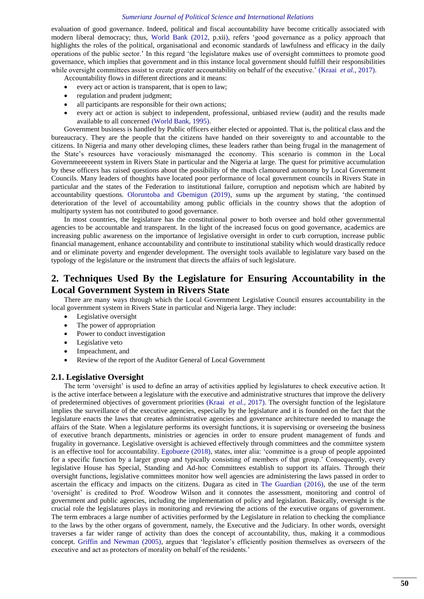evaluation of good governance. Indeed, political and fiscal accountability have become critically associated with modern liberal democracy; thus, [World Bank \(2012, p.xii\),](#page-6-9) refers "good governance as a policy approach that highlights the roles of the political, organisational and economic standards of lawfulness and efficacy in the daily operations of the public sector." In this regard "the legislature makes use of oversight committees to promote good governance, which implies that government and in this instance local government should fulfill their responsibilities while oversight committees assist to create greater accountability on behalf of the executive.' (Kraai *et al.*[, 2017\)](#page-6-10).

Accountability flows in different directions and it means:

- every act or action is transparent, that is open to law;
- regulation and prudent judgment;
- all participants are responsible for their own actions;
- every act or action is subject to independent, professional, unbiased review (audit) and the results made available to all concerned [\(World Bank, 1995\)](#page-6-11).

Government business is handled by Public officers either elected or appointed. That is, the political class and the bureaucracy. They are the people that the citizens have handed on their sovereignty to and accountable to the citizens. In Nigeria and many other developing climes, these leaders rather than being frugal in the management of the State"s resources have voraciously mismanaged the economy. This scenario is common in the Local Governmeeeeeent system in Rivers State in particular and the Nigeria at large. The quest for primitive accumulation by these officers has raised questions about the possibility of the much clamoured autonomy by Local Government Councils. Many leaders of thoughts have located poor performance of local government councils in Rivers State in particular and the states of the Federation to institutional failure, corruption and nepotism which are habited by accountability questions. [Oloruntoba and Gbemigun \(2019\),](#page-6-12) sums up the argument by stating, "the continued deterioration of the level of accountability among public officials in the country shows that the adoption of multiparty system has not contributed to good governance.

In most countries, the legislature has the constitutional power to both oversee and hold other governmental agencies to be accountable and transparent. In the light of the increased focus on good governance, academics are increasing public awareness on the importance of legislative oversight in order to curb corruption, increase public financial management, enhance accountability and contribute to institutional stability which would drastically reduce and or eliminate poverty and engender development. The oversight tools available to legislature vary based on the typology of the legislature or the instrument that directs the affairs of such legislature.

# **2. Techniques Used By the Legislature for Ensuring Accountability in the Local Government System in Rivers State**

There are many ways through which the Local Government Legislative Council ensures accountability in the local government system in Rivers State in particular and Nigeria large. They include:

- Legislative oversight
- The power of appropriation
- Power to conduct investigation
- Legislative veto
- Impeachment, and
- Review of the report of the Auditor General of Local Government

#### **2.1. Legislative Oversight**

The term 'oversight' is used to define an array of activities applied by legislatures to check executive action. It is the active interface between a legislature with the executive and administrative structures that improve the delivery of predetermined objectives of government priorities (Kraai *et al.*[, 2017\)](#page-6-10). The oversight function of the legislature implies the surveillance of the executive agencies, especially by the legislature and it is founded on the fact that the legislature enacts the laws that creates administrative agencies and governance architecture needed to manage the affairs of the State. When a legislature performs its oversight functions, it is supervising or overseeing the business of executive branch departments, ministries or agencies in order to ensure prudent management of funds and frugality in governance. Legislative oversight is achieved effectively through committees and the committee system is an effective tool for accountability. [Egobueze \(2018\),](#page-6-13) states, inter alia: "committee is a group of people appointed for a specific function by a larger group and typically consisting of members of that group." Consequently, every legislative House has Special, Standing and Ad-hoc Committees establish to support its affairs. Through their oversight functions, legislative committees monitor how well agencies are administering the laws passed in order to ascertain the efficacy and impacts on the citizens. Dugara as cited in [The Guardian \(2016\),](#page-6-14) the use of the term "oversight" is credited to Prof. Woodrow Wilson and it connotes the assessment, monitoring and control of government and public agencies, including the implementation of policy and legislation. Basically, oversight is the crucial role the legislatures plays in monitoring and reviewing the actions of the executive organs of government. The term embraces a large number of activities performed by the Legislature in relation to checking the compliance to the laws by the other organs of government, namely, the Executive and the Judiciary. In other words, oversight traverses a far wider range of activity than does the concept of accountability, thus, making it a commodious concept. [Griffin and Newman \(2005\),](#page-6-15) argues that 'legislator's efficiently position themselves as overseers of the executive and act as protectors of morality on behalf of the residents.'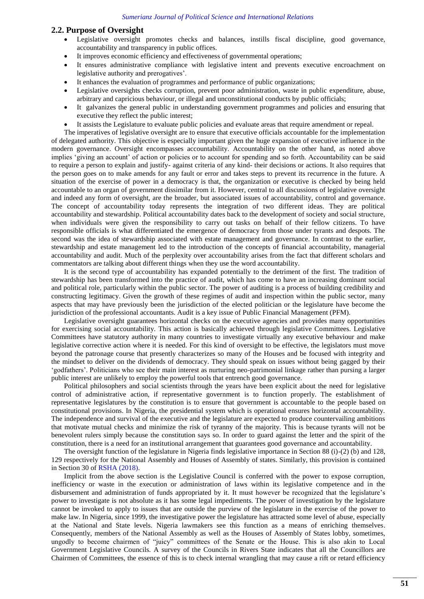#### **2.2. Purpose of Oversight**

- Legislative oversight promotes checks and balances, instills fiscal discipline, good governance, accountability and transparency in public offices.
- It improves economic efficiency and effectiveness of governmental operations;
- It ensures administrative compliance with legislative intent and prevents executive encroachment on legislative authority and prerogatives".
- It enhances the evaluation of programmes and performance of public organizations;
- Legislative oversights checks corruption, prevent poor administration, waste in public expenditure, abuse, arbitrary and capricious behaviour, or illegal and unconstitutional conducts by public officials;
- It galvanizes the general public in understanding government programmes and policies and ensuring that executive they reflect the public interest;
- It assists the Legislature to evaluate public policies and evaluate areas that require amendment or repeal.

The imperatives of legislative oversight are to ensure that executive officials accountable for the implementation of delegated authority. This objective is especially important given the huge expansion of executive influence in the modern governance. Oversight encompasses accountability. Accountability on the other hand, as noted above implies 'giving an account' of action or policies or to account for spending and so forth. Accountability can be said to require a person to explain and justify- against criteria of any kind- their decisions or actions. It also requires that the person goes on to make amends for any fault or error and takes steps to prevent its recurrence in the future. A situation of the exercise of power in a democracy is that, the organization or executive is checked by being held accountable to an organ of government dissimilar from it. However, central to all discussions of legislative oversight and indeed any form of oversight, are the broader, but associated issues of accountability, control and governance. The concept of accountability today represents the integration of two different ideas. They are political accountability and stewardship. Political accountability dates back to the development of society and social structure, when individuals were given the responsibility to carry out tasks on behalf of their fellow citizens. To have responsible officials is what differentiated the emergence of democracy from those under tyrants and despots. The second was the idea of stewardship associated with estate management and governance. In contrast to the earlier, stewardship and estate management led to the introduction of the concepts of financial accountability, managerial accountability and audit. Much of the perplexity over accountability arises from the fact that different scholars and commentators are talking about different things when they use the word accountability.

It is the second type of accountability has expanded potentially to the detriment of the first. The tradition of stewardship has been transformed into the practice of audit, which has come to have an increasing dominant social and political role, particularly within the public sector. The power of auditing is a process of building credibility and constructing legitimacy. Given the growth of these regimes of audit and inspection within the public sector, many aspects that may have previously been the jurisdiction of the elected politician or the legislature have become the jurisdiction of the professional accountants. Audit is a key issue of Public Financial Management (PFM).

Legislative oversight guarantees horizontal checks on the executive agencies and provides many opportunities for exercising social accountability. This action is basically achieved through legislative Committees. Legislative Committees have statutory authority in many countries to investigate virtually any executive behaviour and make legislative corrective action where it is needed. For this kind of oversight to be effective, the legislators must move beyond the patronage course that presently characterizes so many of the Houses and be focused with integrity and the mindset to deliver on the dividends of democracy. They should speak on issues without being gagged by their "godfathers". Politicians who see their main interest as nurturing neo-patrimonial linkage rather than pursing a larger public interest are unlikely to employ the powerful tools that entrench good governance.

Political philosophers and social scientists through the years have been explicit about the need for legislative control of administrative action, if representative government is to function properly. The establishment of representative legislatures by the constitution is to ensure that government is accountable to the people based on constitutional provisions. In Nigeria, the presidential system which is operational ensures horizontal accountability. The independence and survival of the executive and the legislature are expected to produce countervailing ambitions that motivate mutual checks and minimize the risk of tyranny of the majority. This is because tyrants will not be benevolent rulers simply because the constitution says so. In order to guard against the letter and the spirit of the constitution, there is a need for an institutional arrangement that guarantees good governance and accountability.

The oversight function of the legislature in Nigeria finds legislative importance in Section 88 (i)-(2) (b) and 128, 129 respectively for the National Assembly and Houses of Assembly of states. Similarly, this provision is contained in Section 30 of [RSHA \(2018\).](#page-6-16)

Implicit from the above section is the Legislative Council is conferred with the power to expose corruption, inefficiency or waste in the execution or administration of laws within its legislative competence and in the disbursement and administration of funds appropriated by it. It must however be recognized that the legislature's power to investigate is not absolute as it has some legal impediments. The power of investigation by the legislature cannot be invoked to apply to issues that are outside the purview of the legislature in the exercise of the power to make law. In Nigeria, since 1999, the investigative power the legislature has attracted some level of abuse, especially at the National and State levels. Nigeria lawmakers see this function as a means of enriching themselves. Consequently, members of the National Assembly as well as the Houses of Assembly of States lobby, sometimes, ungodly to become chairmen of "juicy" committees of the Senate or the House. This is also akin to Local Government Legislative Councils. A survey of the Councils in Rivers State indicates that all the Councillors are Chairmen of Committees, the essence of this is to check internal wrangling that may cause a rift or retard efficiency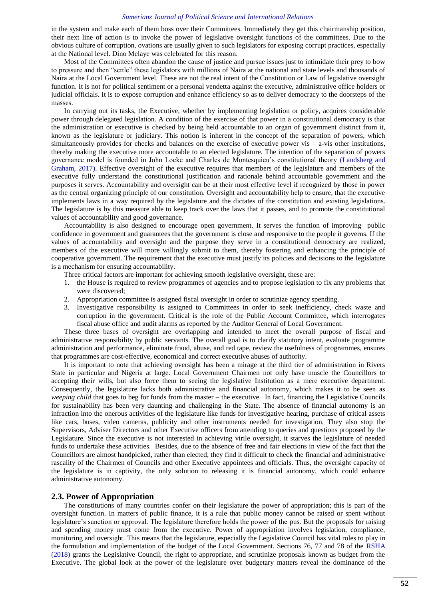in the system and make each of them boss over their Committees. Immediately they get this chairmanship position, their next line of action is to invoke the power of legislative oversight functions of the committees. Due to the obvious culture of corruption, ovations are usually given to such legislators for exposing corrupt practices, especially at the National level. Dino Melaye was celebrated for this reason.

Most of the Committees often abandon the cause of justice and pursue issues just to intimidate their prey to bow to pressure and then "settle" these legislators with millions of Naira at the national and state levels and thousands of Naira at the Local Government level. These are not the real intent of the Constitution or Law of legislative oversight function. It is not for political sentiment or a personal vendetta against the executive, administrative office holders or judicial officials. It is to expose corruption and enhance efficiency so as to deliver democracy to the doorsteps of the masses.

In carrying out its tasks, the Executive, whether by implementing legislation or policy, acquires considerable power through delegated legislation. A condition of the exercise of that power in a constitutional democracy is that the administration or executive is checked by being held accountable to an organ of government distinct from it, known as the legislature or judiciary. This notion is inherent in the concept of the separation of powers, which simultaneously provides for checks and balances on the exercise of executive power vis  $-$  a-vis other institutions, thereby making the executive more accountable to an elected legislature. The intention of the separation of powers governance model is founded in John Locke and Charles de Montesquieu"s constitutional theory [\(Landsberg and](#page-6-17)  [Graham, 2017\)](#page-6-17). Effective oversight of the executive requires that members of the legislature and members of the executive fully understand the constitutional justification and rationale behind accountable government and the purposes it serves. Accountability and oversight can be at their most effective level if recognized by those in power as the central organizing principle of our constitution. Oversight and accountability help to ensure, that the executive implements laws in a way required by the legislature and the dictates of the constitution and existing legislations. The legislature is by this measure able to keep track over the laws that it passes, and to promote the constitutional values of accountability and good governance.

Accountability is also designed to encourage open government. It serves the function of improving public confidence in government and guarantees that the government is close and responsive to the people it governs. If the values of accountability and oversight and the purpose they serve in a constitutional democracy are realized, members of the executive will more willingly submit to them, thereby fostering and enhancing the principle of cooperative government. The requirement that the executive must justify its policies and decisions to the legislature is a mechanism for ensuring accountability.

Three critical factors are important for achieving smooth legislative oversight, these are:

- 1. the House is required to review programmes of agencies and to propose legislation to fix any problems that were discovered;
- 2. Appropriation committee is assigned fiscal oversight in order to scrutinize agency spending.
- 3. Investigative responsibility is assigned to Committees in order to seek inefficiency, check waste and corruption in the government. Critical is the role of the Public Account Committee, which interrogates fiscal abuse office and audit alarms as reported by the Auditor General of Local Government.

These three bases of oversight are overlapping and intended to meet the overall purpose of fiscal and administrative responsibility by public servants. The overall goal is to clarify statutory intent, evaluate programme administration and performance, eliminate fraud, abuse, and red tape, review the usefulness of programmes, ensures that programmes are cost-effective, economical and correct executive abuses of authority.

It is important to note that achieving oversight has been a mirage at the third tier of administration in Rivers State in particular and Nigeria at large. Local Government Chairmen not only have muscle the Councillors to accepting their wills, but also force them to seeing the legislative Institution as a mere executive department. Consequently, the legislature lacks both administrative and financial autonomy, which makes it to be seen as *weeping child* that goes to beg for funds from the master – the executive. In fact, financing the Legislative Councils for sustainability has been very daunting and challenging in the State. The absence of financial autonomy is an infraction into the onerous activities of the legislature like funds for investigative hearing, purchase of critical assets like cars, buses, video cameras, publicity and other instruments needed for investigation. They also stop the Supervisors, Adviser Directors and other Executive officers from attending to queries and questions proposed by the Legislature. Since the executive is not interested in achieving virile oversight, it starves the legislature of needed funds to undertake these activities. Besides, due to the absence of free and fair elections in view of the fact that the Councillors are almost handpicked, rather than elected, they find it difficult to check the financial and administrative rascality of the Chairmen of Councils and other Executive appointees and officials. Thus, the oversight capacity of the legislature is in captivity, the only solution to releasing it is financial autonomy, which could enhance administrative autonomy.

#### **2.3. Power of Appropriation**

The constitutions of many countries confer on their legislature the power of appropriation; this is part of the oversight function. In matters of public finance, it is a rule that public money cannot be raised or spent without legislature's sanction or approval. The legislature therefore holds the power of the pus. But the proposals for raising and spending money must come from the executive. Power of appropriation involves legislation, compliance, monitoring and oversight. This means that the legislature, especially the Legislative Council has vital roles to play in the formulation and implementation of the budget of the Local Government. Sections 76, 77 and 78 of the [RSHA](#page-6-16)  (2018) grants the Legislative Council, the right to appropriate, and scrutinize proposals known as budget from the Executive. The global look at the power of the legislature over budgetary matters reveal the dominance of the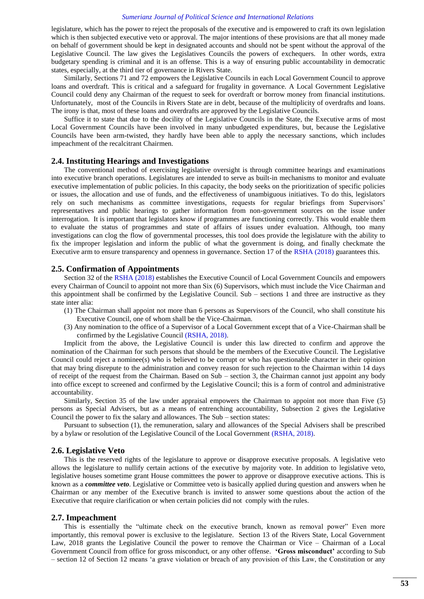legislature, which has the power to reject the proposals of the executive and is empowered to craft its own legislation which is then subjected executive veto or approval. The major intentions of these provisions are that all money made on behalf of government should be kept in designated accounts and should not be spent without the approval of the Legislative Council. The law gives the Legislatives Councils the powers of exchequers. In other words, extra budgetary spending is criminal and it is an offense. This is a way of ensuring public accountability in democratic states, especially, at the third tier of governance in Rivers State.

Similarly, Sections 71 and 72 empowers the Legislative Councils in each Local Government Council to approve loans and overdraft. This is critical and a safeguard for frugality in governance. A Local Government Legislative Council could deny any Chairman of the request to seek for overdraft or borrow money from financial institutions. Unfortunately, most of the Councils in Rivers State are in debt, because of the multiplicity of overdrafts and loans. The irony is that, most of these loans and overdrafts are approved by the Legislative Councils.

Suffice it to state that due to the docility of the Legislative Councils in the State, the Executive arms of most Local Government Councils have been involved in many unbudgeted expenditures, but, because the Legislative Councils have been arm-twisted, they hardly have been able to apply the necessary sanctions, which includes impeachment of the recalcitrant Chairmen.

#### **2.4. Instituting Hearings and Investigations**

The conventional method of exercising legislative oversight is through committee hearings and examinations into executive branch operations. Legislatures are intended to serve as built-in mechanisms to monitor and evaluate executive implementation of public policies. In this capacity, the body seeks on the prioritization of specific policies or issues, the allocation and use of funds, and the effectiveness of unambiguous initiatives. To do this, legislators rely on such mechanisms as committee investigations, requests for regular briefings from Supervisors" representatives and public hearings to gather information from non-government sources on the issue under interrogation. It is important that legislators know if programmes are functioning correctly. This would enable them to evaluate the status of programmes and state of affairs of issues under evaluation. Although, too many investigations can clog the flow of governmental processes, this tool does provide the legislature with the ability to fix the improper legislation and inform the public of what the government is doing, and finally checkmate the Executive arm to ensure transparency and openness in governance. Section 17 of the [RSHA \(2018\)](#page-6-16) guarantees this.

#### **2.5. Confirmation of Appointments**

Section 32 of the [RSHA \(2018\)](#page-6-16) establishes the Executive Council of Local Government Councils and empowers every Chairman of Council to appoint not more than Six (6) Supervisors, which must include the Vice Chairman and this appointment shall be confirmed by the Legislative Council. Sub – sections 1 and three are instructive as they state inter alia:

- (1) The Chairman shall appoint not more than 6 persons as Supervisors of the Council, who shall constitute his Executive Council, one of whom shall be the Vice-Chairman.
- (3) Any nomination to the office of a Supervisor of a Local Government except that of a Vice-Chairman shall be confirmed by the Legislative Council [\(RSHA, 2018\)](#page-6-16).

Implicit from the above, the Legislative Council is under this law directed to confirm and approve the nomination of the Chairman for such persons that should be the members of the Executive Council. The Legislative Council could reject a nominee(s) who is believed to be corrupt or who has questionable character in their opinion that may bring disrepute to the administration and convey reason for such rejection to the Chairman within 14 days of receipt of the request from the Chairman. Based on Sub – section 3, the Chairman cannot just appoint any body into office except to screened and confirmed by the Legislative Council; this is a form of control and administrative accountability.

Similarly, Section 35 of the law under appraisal empowers the Chairman to appoint not more than Five (5) persons as Special Advisers, but as a means of entrenching accountability, Subsection 2 gives the Legislative Council the power to fix the salary and allowances. The Sub – section states:

Pursuant to subsection (1), the remuneration, salary and allowances of the Special Advisers shall be prescribed by a bylaw or resolution of the Legislative Council of the Local Government [\(RSHA, 2018\)](#page-6-16).

#### **2.6. Legislative Veto**

This is the reserved rights of the legislature to approve or disapprove executive proposals. A legislative veto allows the legislature to nullify certain actions of the executive by majority vote. In addition to legislative veto, legislative houses sometime grant House committees the power to approve or disapprove executive actions. This is known as a *committee veto*. Legislative or Committee veto is basically applied during question and answers when he Chairman or any member of the Executive branch is invited to answer some questions about the action of the Executive that require clarification or when certain policies did not comply with the rules.

#### **2.7. Impeachment**

This is essentially the "ultimate check on the executive branch, known as removal power" Even more importantly, this removal power is exclusive to the legislature. Section 13 of the Rivers State, Local Government Law, 2018 grants the Legislative Council the power to remove the Chairman or Vice – Chairman of a Local Government Council from office for gross misconduct, or any other offense. **'Gross misconduct'** according to Sub – section 12 of Section 12 means "a grave violation or breach of any provision of this Law, the Constitution or any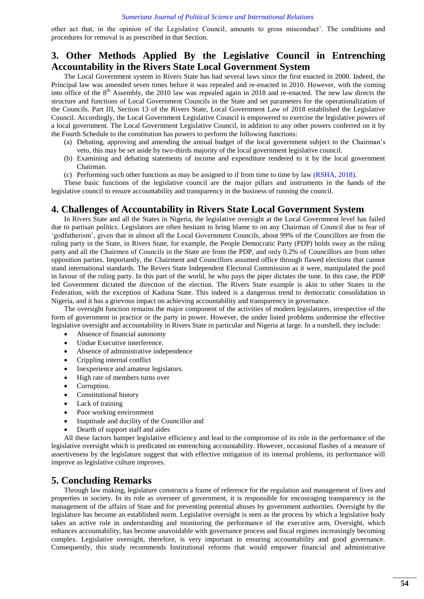other act that, in the opinion of the Legislative Council, amounts to gross misconduct". The conditions and procedures for removal is as prescribed in that Section.

# **3. Other Methods Applied By the Legislative Council in Entrenching Accountability in the Rivers State Local Government System**

The Local Government system in Rivers State has had several laws since the first enacted in 2000. Indeed, the Principal law was amended seven times before it was repealed and re-enacted in 2010. However, with the coming into office of the  $8<sup>th</sup>$  Assembly, the 2010 law was repealed again in 2018 and re-enacted. The new law directs the structure and functions of Local Government Councils in the State and set parameters for the operationalization of the Councils. Part III, Section 13 of the Rivers State, Local Government Law of 2018 established the Legislative Council. Accordingly, the Local Government Legislative Council is empowered to exercise the legislative powers of a local government. The Local Government Legislative Council, in addition to any other powers conferred on it by the Fourth Schedule to the constitution has powers to perform the following functions:

- (a) Debating, approving and amending the annual budget of the local government subject to the Chairman"s veto, this may be set aside by two-thirds majority of the local government legislative council.
- (b) Examining and debating statements of income and expenditure rendered to it by the local government Chairman.
- (c) Performing such other functions as may be assigned to if from time to time by law [\(RSHA, 2018\)](#page-6-16).

These basic functions of the legislative council are the major pillars and instruments in the hands of the legislative council to ensure accountability and transparency in the business of running the council.

### **4. Challenges of Accountability in Rivers State Local Government System**

In Rivers State and all the States in Nigeria, the legislative oversight at the Local Government level has failed due to partisan politics. Legislators are often hesitant to bring blame to on any Chairman of Council due to fear of "godfatherism", given that in almost all the Local Government Councils, about 99% of the Councillors are from the ruling party in the State, in Rivers State, for example, the People Democratic Party (PDP) holds sway as the ruling party and all the Chairmen of Councils in the State are from the PDP, and only 0.2% of Councillors are from other opposition parties. Importantly, the Chairment and Councillors assumed office through flawed elections that cannot stand international standards. The Revers State Independent Electoral Commission as it were, manipulated the pool in favour of the ruling party. In this part of the world, he who pays the piper dictates the tune. In this case, the PDP led Government dictated the direction of the election. The Rivers State example is akin to other States in the Federation, with the exception of Kaduna State. This indeed is a dangerous trend to democratic consolidation in Nigeria, and it has a grievous impact on achieving accountability and transparency in governance.

The oversight function remains the major component of the activities of modern legislatures, irrespective of the form of government in practice or the party in power. However, the under listed problems undermine the effective legislative oversight and accountability in Rivers State in particular and Nigeria at large. In a nutshell, they include:

- Absence of financial autonomy
- Undue Executive interference.
- Absence of administrative independence
- Crippling internal conflict
- Inexperience and amateur legislators.
- High rate of members turns over
- Corruption.
- Constitutional history
- Lack of training
- Poor working environment
- Inaptitude and docility of the Councillor and
- Dearth of support staff and aides

All these factors hamper legislative efficiency and lead to the compromise of its role in the performance of the legislative oversight which is predicated on entrenching accountability. However, occasional flashes of a measure of assertiveness by the legislature suggest that with effective mitigation of its internal problems, its performance will improve as legislative culture improves.

## **5. Concluding Remarks**

Through law making, legislature constructs a frame of reference for the regulation and management of lives and properties in society. In its role as overseer of government, it is responsible for encouraging transparency in the management of the affairs of State and for preventing potential abuses by government authorities. Oversight by the legislature has become an established norm. Legislative oversight is seen as the process by which a legislative body takes an active role in understanding and monitoring the performance of the executive arm, Oversight, which enhances accountability, has become unavoidable with governance process and fiscal regimes increasingly becoming complex. Legislative oversight, therefore, is very important in ensuring accountability and good governance. Consequently, this study recommends Institutional reforms that would empower financial and administrative